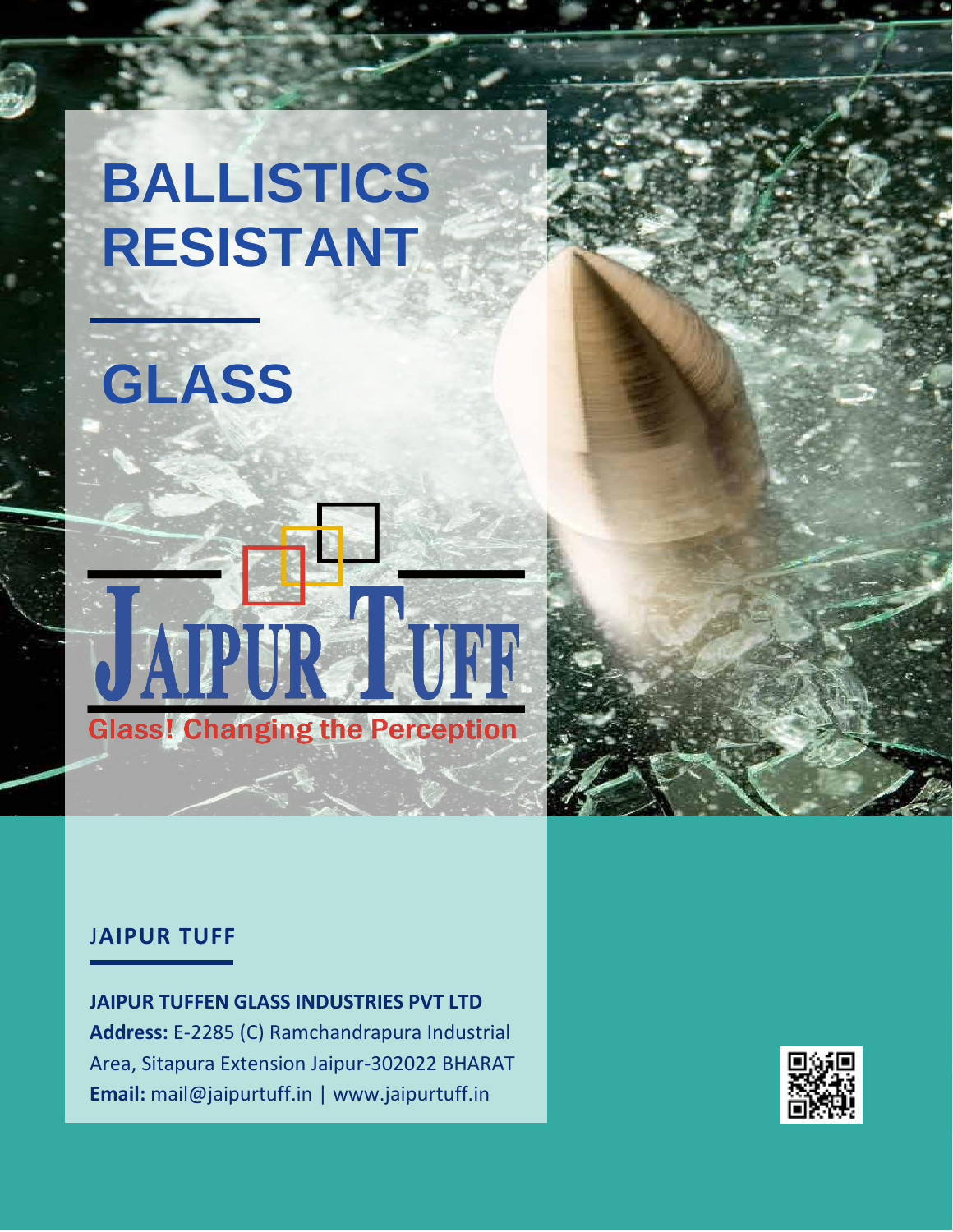## **BALLISTICS RESISTANT**

# **GLASS**



#### J**AIPUR TUFF**

**JAIPUR TUFFEN GLASS INDUSTRIES PVT LTD Address:** E-2285 (C) Ramchandrapura Industrial Area, Sitapura Extension Jaipur-302022 BHARAT **Email:** mail@jaipurtuff.in | www.jaipurtuff.in

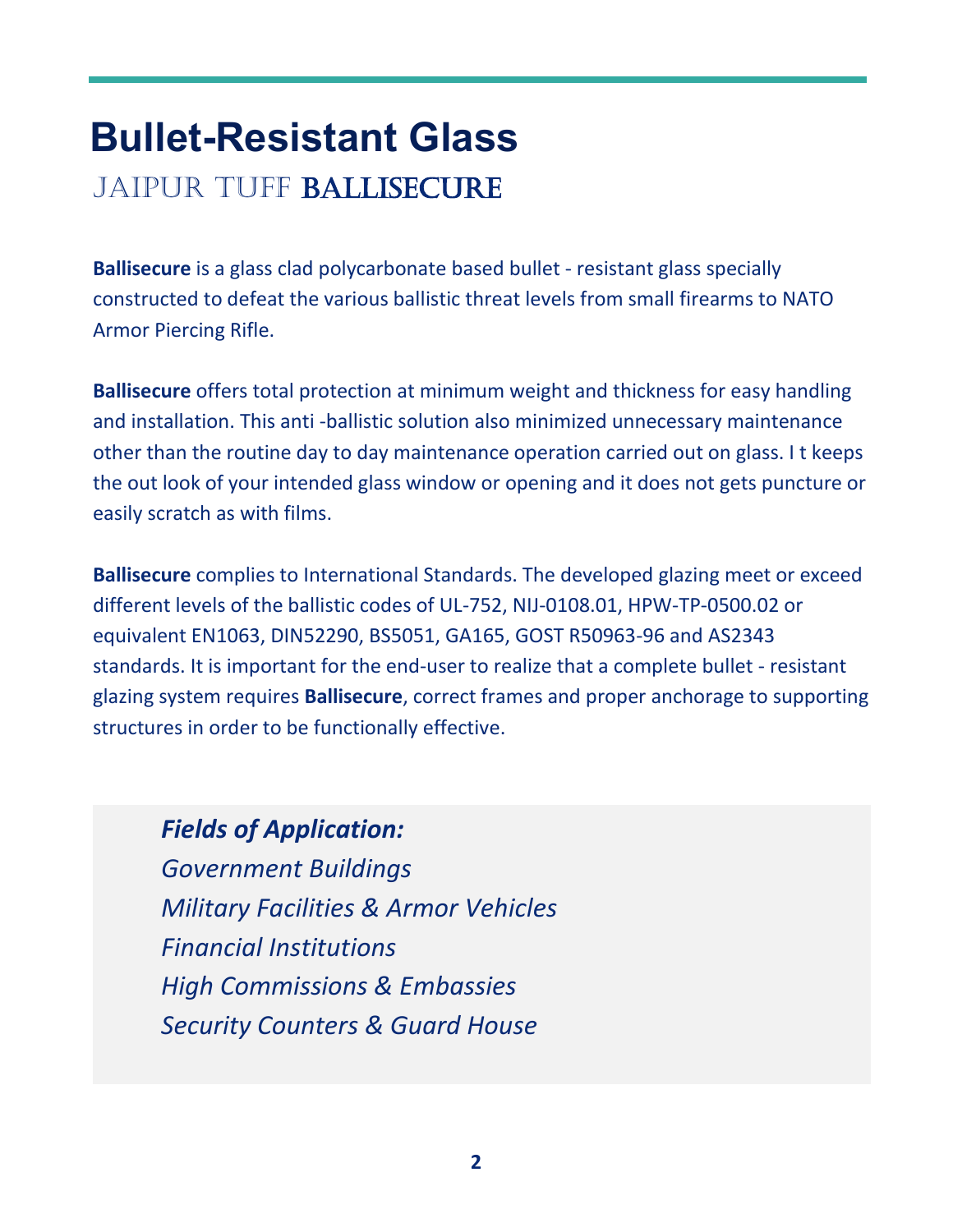### **Bullet-Resistant Glass** JAIPUR TUFF BALLISECURE

**Ballisecure** is a glass clad polycarbonate based bullet - resistant glass specially constructed to defeat the various ballistic threat levels from small firearms to NATO Armor Piercing Rifle.

**Ballisecure** offers total protection at minimum weight and thickness for easy handling and installation. This anti -ballistic solution also minimized unnecessary maintenance other than the routine day to day maintenance operation carried out on glass. I t keeps the out look of your intended glass window or opening and it does not gets puncture or easily scratch as with films.

**Ballisecure** complies to International Standards. The developed glazing meet or exceed different levels of the ballistic codes of UL-752, NIJ-0108.01, HPW-TP-0500.02 or equivalent EN1063, DIN52290, BS5051, GA165, GOST R50963-96 and AS2343 standards. It is important for the end-user to realize that a complete bullet - resistant glazing system requires **Ballisecure**, correct frames and proper anchorage to supporting structures in order to be functionally effective.

*Fields of Application: Government Buildings Military Facilities & Armor Vehicles Financial Institutions High Commissions & Embassies Security Counters & Guard House*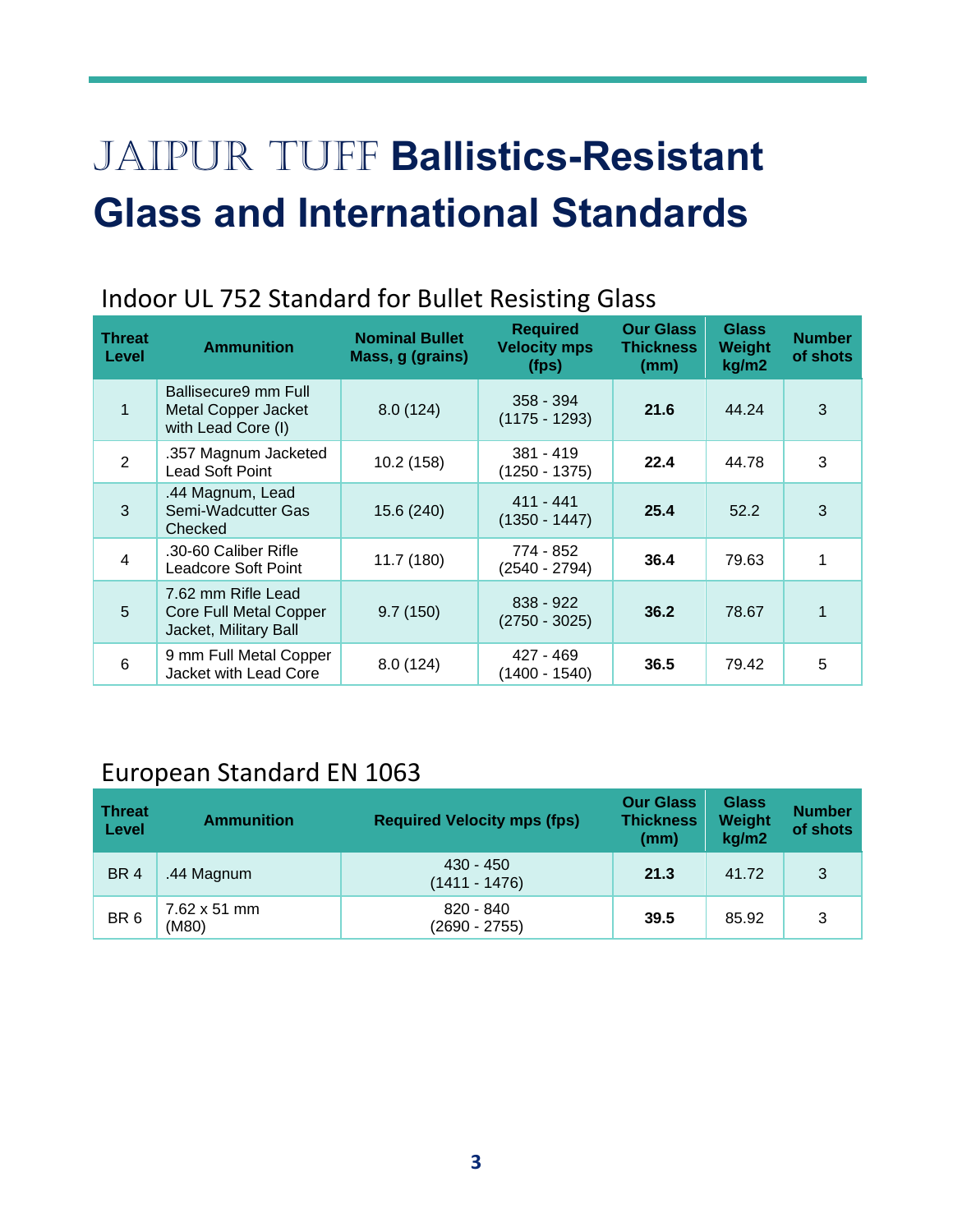## JAIPUR TUFF **Ballistics-Resistant Glass and International Standards**

### Indoor UL 752 Standard for Bullet Resisting Glass

| Threat<br>Level | <b>Ammunition</b>                                                            | <b>Nominal Bullet</b><br>Mass, g (grains) | <b>Required</b><br><b>Velocity mps</b><br>(fps) | <b>Our Glass</b><br><b>Thickness</b><br>(mm) | <b>Glass</b><br>Weight<br>kg/m2 | <b>Number</b><br>of shots |
|-----------------|------------------------------------------------------------------------------|-------------------------------------------|-------------------------------------------------|----------------------------------------------|---------------------------------|---------------------------|
| 1               | Ballisecure9 mm Full<br><b>Metal Copper Jacket</b><br>with Lead Core (I)     | 8.0(124)                                  | 358 - 394<br>$(1175 - 1293)$                    | 21.6                                         | 44.24                           | 3                         |
| 2               | .357 Magnum Jacketed<br>Lead Soft Point                                      | 10.2(158)                                 | $381 - 419$<br>$(1250 - 1375)$                  | 22.4                                         | 44.78                           | 3                         |
| 3               | .44 Magnum, Lead<br>Semi-Wadcutter Gas<br>Checked                            | 15.6 (240)                                | $411 - 441$<br>$(1350 - 1447)$                  | 25.4                                         | 52.2                            | 3                         |
| 4               | .30-60 Caliber Rifle<br>Leadcore Soft Point                                  | 11.7 (180)                                | 774 - 852<br>$(2540 - 2794)$                    | 36.4                                         | 79.63                           |                           |
| 5               | 7.62 mm Rifle Lead<br><b>Core Full Metal Copper</b><br>Jacket, Military Ball | 9.7(150)                                  | $838 - 922$<br>$(2750 - 3025)$                  | 36.2                                         | 78.67                           |                           |
| 6               | 9 mm Full Metal Copper<br>Jacket with Lead Core                              | 8.0(124)                                  | 427 - 469<br>(1400 - 1540)                      | 36.5                                         | 79.42                           | 5                         |

### European Standard EN 1063

| <b>Threat</b><br>Level | <b>Ammunition</b>                    | <b>Required Velocity mps (fps)</b> | <b>Our Glass</b><br><b>Thickness</b><br>(mm) | <b>Glass</b><br>Weight<br>kg/m2 | <b>Number</b><br>of shots |
|------------------------|--------------------------------------|------------------------------------|----------------------------------------------|---------------------------------|---------------------------|
| BR <sub>4</sub>        | .44 Magnum                           | $430 - 450$<br>(1411 - 1476)       | 21.3                                         | 41.72                           | 3                         |
| BR <sub>6</sub>        | $7.62 \times 51 \text{ mm}$<br>(M80) | 820 - 840<br>$(2690 - 2755)$       | 39.5                                         | 85.92                           | 3                         |